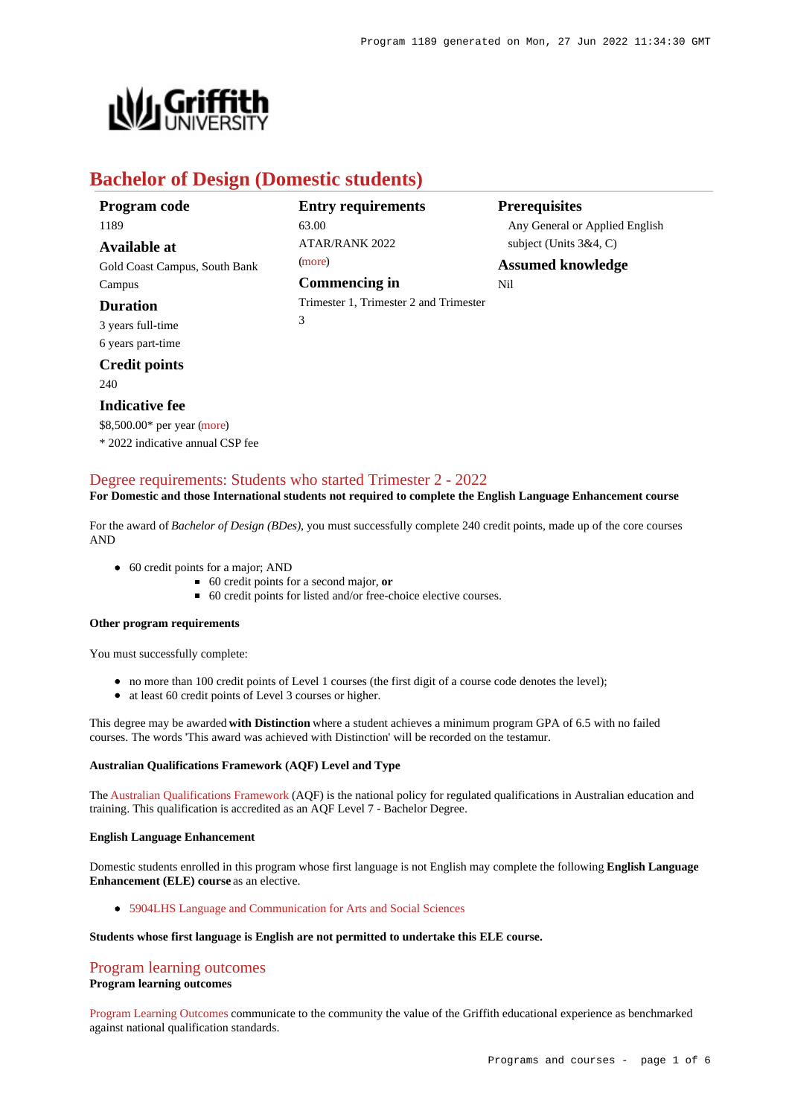

# **Bachelor of Design (Domestic students)**

| Program code                  | <b>Entry requirements</b>              | <b>Prerequisites</b>           |
|-------------------------------|----------------------------------------|--------------------------------|
| 1189                          | 63.00                                  | Any General or Applied English |
| Available at                  | ATAR/RANK 2022                         | subject (Units $3&4, C$ )      |
| Gold Coast Campus, South Bank | (more)                                 | <b>Assumed knowledge</b>       |
| Campus                        | <b>Commencing in</b>                   | Nil                            |
| <b>Duration</b>               | Trimester 1, Trimester 2 and Trimester |                                |
| 3 years full-time             | 3                                      |                                |
| 6 years part-time             |                                        |                                |

## **Credit points**

240

### **Indicative fee**

\$8,500.00\* per year [\(more](https://www148.griffith.edu.au/programs-courses/Program/1189/Overview/Domestic#fees)) \* 2022 indicative annual CSP fee

## [Degree requirements: Students who started Trimester 2 - 2022](https://www148.griffith.edu.au/programs-courses/Program/1189/Courses/Domestic#degree-requirements)

**For Domestic and those International students not required to complete the English Language Enhancement course**

For the award of *Bachelor of Design (BDes)*, you must successfully complete 240 credit points, made up of the core courses AND

- 60 credit points for a major; AND
	- 60 credit points for a second major, **or**
	- 60 credit points for listed and/or free-choice elective courses.

#### **Other program requirements**

You must successfully complete:

- no more than 100 credit points of Level 1 courses (the first digit of a course code denotes the level);
- at least 60 credit points of Level 3 courses or higher.

This degree may be awarded **with Distinction** where a student achieves a minimum program GPA of 6.5 with no failed courses. The words 'This award was achieved with Distinction' will be recorded on the testamur.

### **Australian Qualifications Framework (AQF) Level and Type**

The [Australian Qualifications Framework](http://www.aqf.edu.au/) (AQF) is the national policy for regulated qualifications in Australian education and training. This qualification is accredited as an AQF Level 7 - Bachelor Degree.

#### **English Language Enhancement**

Domestic students enrolled in this program whose first language is not English may complete the following **English Language Enhancement (ELE) course** as an elective.

[5904LHS Language and Communication for Arts and Social Sciences](https://www148.griffith.edu.au/Course/5904LHS)

### **Students whose first language is English are not permitted to undertake this ELE course.**

### [Program learning outcomes](https://www148.griffith.edu.au/programs-courses/Program/1189/Courses/Domestic#programLearningOutcomes)

#### **Program learning outcomes**

[Program Learning Outcomes](https://www.griffith.edu.au/__data/assets/pdf_file/0017/134522/PLO-general-advice.pdf) communicate to the community the value of the Griffith educational experience as benchmarked against national qualification standards.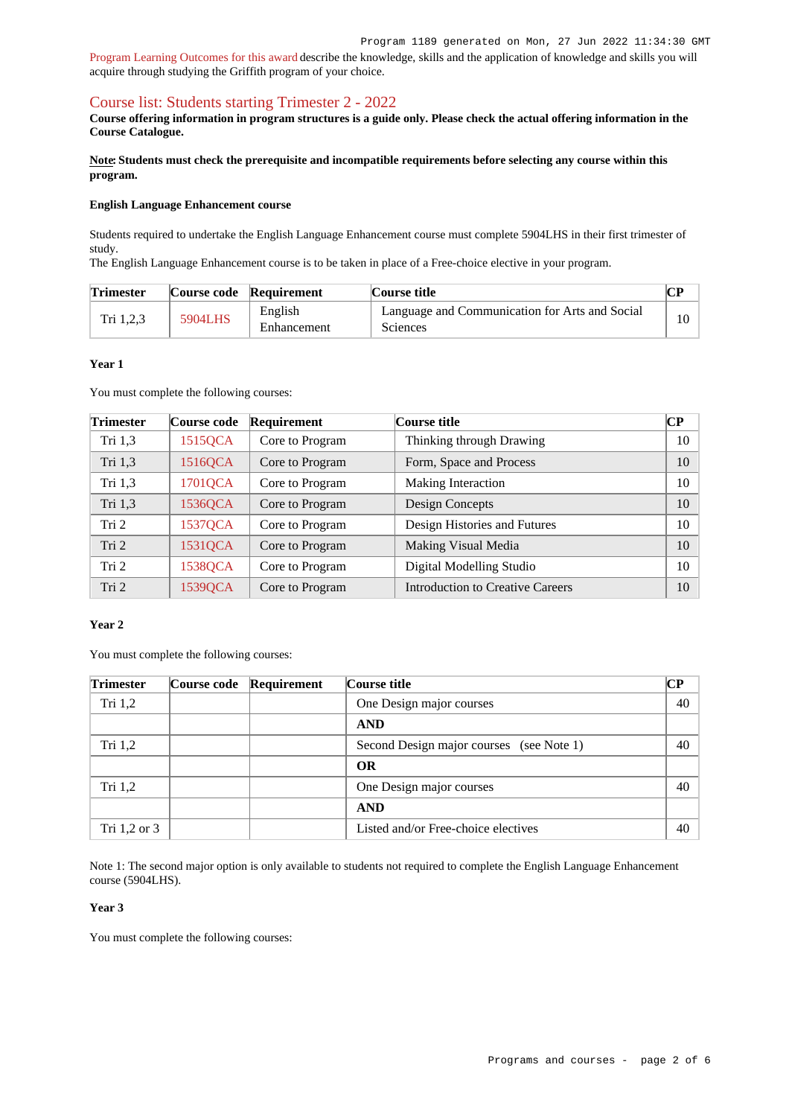[Program Learning Outcomes for this award](https://www.griffith.edu.au/__data/assets/pdf_file/0016/294010/BDesign-PLO-L7.pdf) describe the knowledge, skills and the application of knowledge and skills you will acquire through studying the Griffith program of your choice.

# [Course list: Students starting Trimester 2 - 2022](https://www148.griffith.edu.au/programs-courses/Program/1189/Courses/Domestic#course-list-content)

**Course offering information in program structures is a guide only. Please check the actual offering information in the Course Catalogue.**

**Note: Students must check the prerequisite and incompatible requirements before selecting any course within this program.**

#### **English Language Enhancement course**

Students required to undertake the English Language Enhancement course must complete 5904LHS in their first trimester of study.

The English Language Enhancement course is to be taken in place of a Free-choice elective in your program.

| <b>Trimester</b> |         | Course code Requirement | Course title                                                      |  |
|------------------|---------|-------------------------|-------------------------------------------------------------------|--|
| Tri 1,2,3        | 5904LHS | English<br>Enhancement  | Language and Communication for Arts and Social<br><b>Sciences</b> |  |

#### **Year 1**

You must complete the following courses:

| <b>Trimester</b> | Course code | Requirement     | Course title                            | CР |
|------------------|-------------|-----------------|-----------------------------------------|----|
| Tri $1,3$        | 1515QCA     | Core to Program | Thinking through Drawing                | 10 |
| Tri 1,3          | 1516QCA     | Core to Program | Form, Space and Process                 | 10 |
| Tri $1,3$        | 1701QCA     | Core to Program | Making Interaction                      | 10 |
| Tri 1,3          | 1536QCA     | Core to Program | Design Concepts                         | 10 |
| Tri 2            | 1537QCA     | Core to Program | Design Histories and Futures            | 10 |
| Tri 2            | 1531QCA     | Core to Program | Making Visual Media                     | 10 |
| Tri 2            | 1538QCA     | Core to Program | Digital Modelling Studio                | 10 |
| Tri 2            | 1539QCA     | Core to Program | <b>Introduction to Creative Careers</b> | 10 |

### **Year 2**

You must complete the following courses:

| <b>Trimester</b> | Course code Requirement | Course title                             | $\bf CP$ |    |
|------------------|-------------------------|------------------------------------------|----------|----|
| Tri $1,2$        |                         | One Design major courses                 |          | 40 |
|                  |                         | <b>AND</b>                               |          |    |
| Tri $1,2$        |                         | Second Design major courses (see Note 1) |          | 40 |
|                  |                         | <b>OR</b>                                |          |    |
| Tri $1,2$        |                         | One Design major courses                 |          | 40 |
|                  |                         | <b>AND</b>                               |          |    |
| Tri 1,2 or 3     |                         | Listed and/or Free-choice electives      |          | 40 |

Note 1: The second major option is only available to students not required to complete the English Language Enhancement course (5904LHS).

### **Year 3**

You must complete the following courses: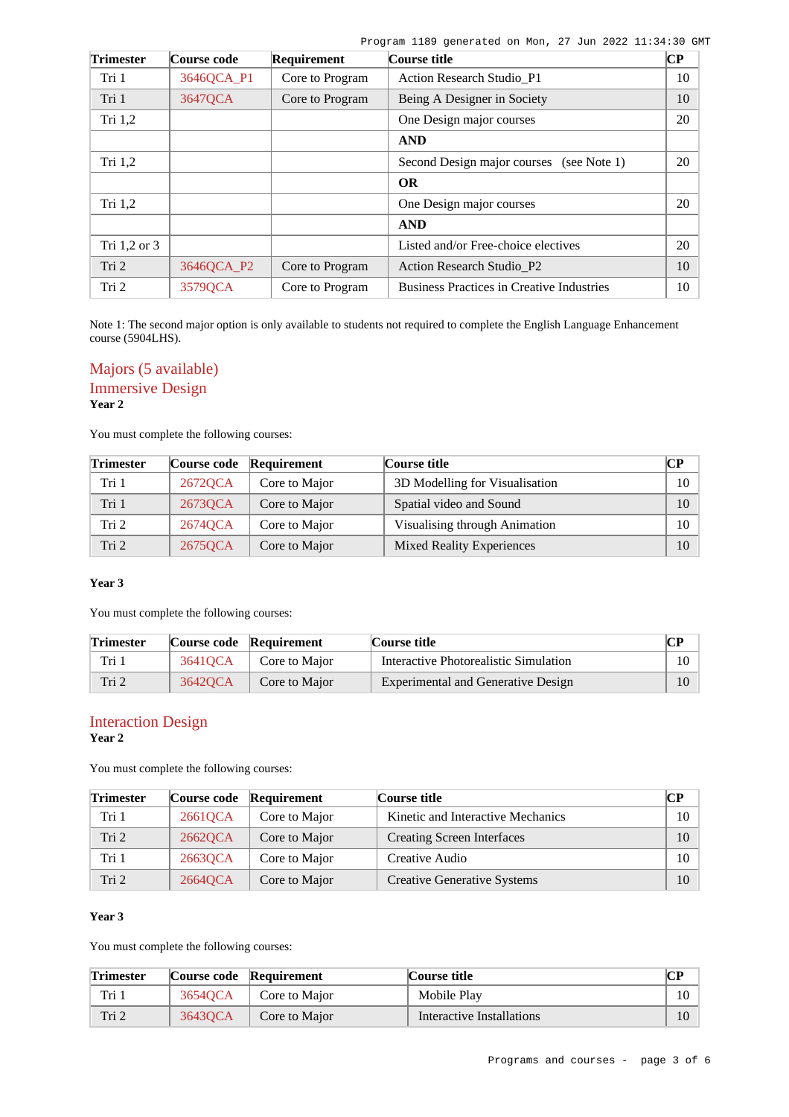Program 1189 generated on Mon, 27 Jun 2022 11:34:30 GMT

| <b>Trimester</b> | Course code | Requirement     | Course title                                     | $\bf CP$ |
|------------------|-------------|-----------------|--------------------------------------------------|----------|
| Tri 1            | 3646QCA P1  | Core to Program | Action Research Studio P1                        | 10       |
| Tri 1            | 3647QCA     | Core to Program | Being A Designer in Society                      | 10       |
| Tri $1,2$        |             |                 | One Design major courses                         | 20       |
|                  |             |                 | <b>AND</b>                                       |          |
| Tri $1,2$        |             |                 | Second Design major courses<br>(see Note 1)      | 20       |
|                  |             |                 | <b>OR</b>                                        |          |
| Tri $1,2$        |             |                 | One Design major courses                         | 20       |
|                  |             |                 | <b>AND</b>                                       |          |
| Tri 1,2 or 3     |             |                 | Listed and/or Free-choice electives              | 20       |
| Tri 2            | 3646QCA P2  | Core to Program | <b>Action Research Studio_P2</b>                 | 10       |
| Tri 2            | 3579QCA     | Core to Program | <b>Business Practices in Creative Industries</b> | 10       |

Note 1: The second major option is only available to students not required to complete the English Language Enhancement course (5904LHS).

# Majors (5 available)

# Immersive Design

**Year 2**

You must complete the following courses:

| <b>Trimester</b> |         | Course code Requirement | Course title                     | $\bf CP$ |
|------------------|---------|-------------------------|----------------------------------|----------|
| Tri 1            | 2672QCA | Core to Major           | 3D Modelling for Visualisation   | 10       |
| Tri 1            | 26730CA | Core to Major           | Spatial video and Sound          | 10       |
| Tri 2            | 2674QCA | Core to Major           | Visualising through Animation    | 10       |
| Tri 2            | 26750CA | Core to Major           | <b>Mixed Reality Experiences</b> | 10       |

### **Year 3**

You must complete the following courses:

| <b>Trimester</b> |         | Course code Requirement | Course title                          | CР |
|------------------|---------|-------------------------|---------------------------------------|----|
| Tri 1            | 36410CA | Core to Major           | Interactive Photorealistic Simulation | 10 |
| Tri 2            | 36420CA | Core to Major           | Experimental and Generative Design    | 10 |

### Interaction Design **Year 2**

You must complete the following courses:

| <b>Trimester</b> |         | Course code Requirement | Course title                       | $\bf CP$ |
|------------------|---------|-------------------------|------------------------------------|----------|
| Tri 1            | 26610CA | Core to Major           | Kinetic and Interactive Mechanics  | 10       |
| Tri 2            | 26620CA | Core to Major           | Creating Screen Interfaces         | 10       |
| Tri 1            | 26630CA | Core to Major           | Creative Audio                     | $10-10$  |
| Tri <sub>2</sub> | 26640CA | Core to Major           | <b>Creative Generative Systems</b> | 10       |

# **Year 3**

You must complete the following courses:

| <b>Trimester</b> |         | Course code Requirement | Course title              | CР     |
|------------------|---------|-------------------------|---------------------------|--------|
| Tri 1            | 3654OCA | Core to Major           | Mobile Play               | $10-1$ |
| Tri 2            | 36430CA | Core to Major           | Interactive Installations |        |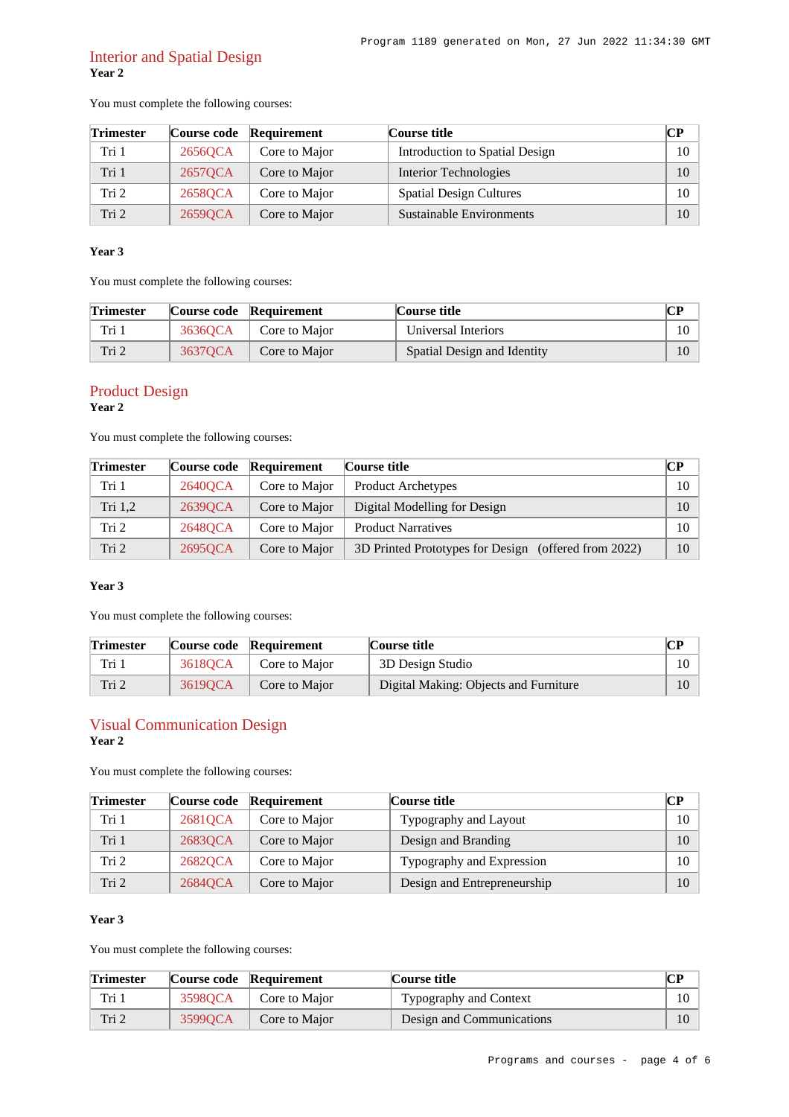# Interior and Spatial Design **Year 2**

You must complete the following courses:

| <b>Trimester</b> |         | Course code Requirement | Course title                   | CР |
|------------------|---------|-------------------------|--------------------------------|----|
| Tri 1            | 2656OCA | Core to Major           | Introduction to Spatial Design | 10 |
| Tri 1            | 2657QCA | Core to Major           | Interior Technologies          | 10 |
| Tri 2            | 2658QCA | Core to Major           | <b>Spatial Design Cultures</b> | 10 |
| Tri <sub>2</sub> | 26590CA | Core to Major           | Sustainable Environments       | 10 |

### **Year 3**

You must complete the following courses:

| <b>Trimester</b> |         | Course code Requirement | Course title                | <b>CP</b> |
|------------------|---------|-------------------------|-----------------------------|-----------|
| Tri 1            | 3636OCA | Core to Major           | Universal Interiors         |           |
| Tri 2            | 3637OCA | Core to Major           | Spatial Design and Identity |           |

# Product Design

**Year 2**

You must complete the following courses:

| <b>Trimester</b> | Course code | Requirement   | Course title                                         | $\bf CP$ |
|------------------|-------------|---------------|------------------------------------------------------|----------|
| Tri 1            | 2640QCA     | Core to Major | <b>Product Archetypes</b>                            | 10       |
| Tri 1,2          | 2639QCA     | Core to Major | Digital Modelling for Design                         | 10       |
| Tri 2            | 2648QCA     | Core to Major | <b>Product Narratives</b>                            | 10       |
| Tri <sub>2</sub> | 2695QCA     | Core to Major | 3D Printed Prototypes for Design (offered from 2022) | 10       |

## **Year 3**

You must complete the following courses:

| <b>Trimester</b> |         | Course code Requirement | Course title                          | $\mathbf{C}\mathbf{P}$ |
|------------------|---------|-------------------------|---------------------------------------|------------------------|
| Tri 1            | 3618OCA | Core to Major           | 3D Design Studio                      |                        |
| Tri 2            | 36190CA | Core to Major           | Digital Making: Objects and Furniture | 10                     |

### Visual Communication Design **Year 2**

You must complete the following courses:

| <b>Trimester</b> |         | Course code Requirement | Course title                | CР     |
|------------------|---------|-------------------------|-----------------------------|--------|
| Tri 1            | 26810CA | Core to Major           | Typography and Layout       | $10-1$ |
| Tri 1            | 26830CA | Core to Major           | Design and Branding         | 10     |
| Tri 2            | 26820CA | Core to Major           | Typography and Expression   | $10-1$ |
| Tri 2            | 2684QCA | Core to Major           | Design and Entrepreneurship | 10     |

## **Year 3**

You must complete the following courses:

| <b>Trimester</b> |         | Course code Requirement | Course title              | CР |
|------------------|---------|-------------------------|---------------------------|----|
| Tri 1            | 35980CA | Core to Major           | Typography and Context    |    |
| Tri 2            | 35990CA | Core to Major           | Design and Communications |    |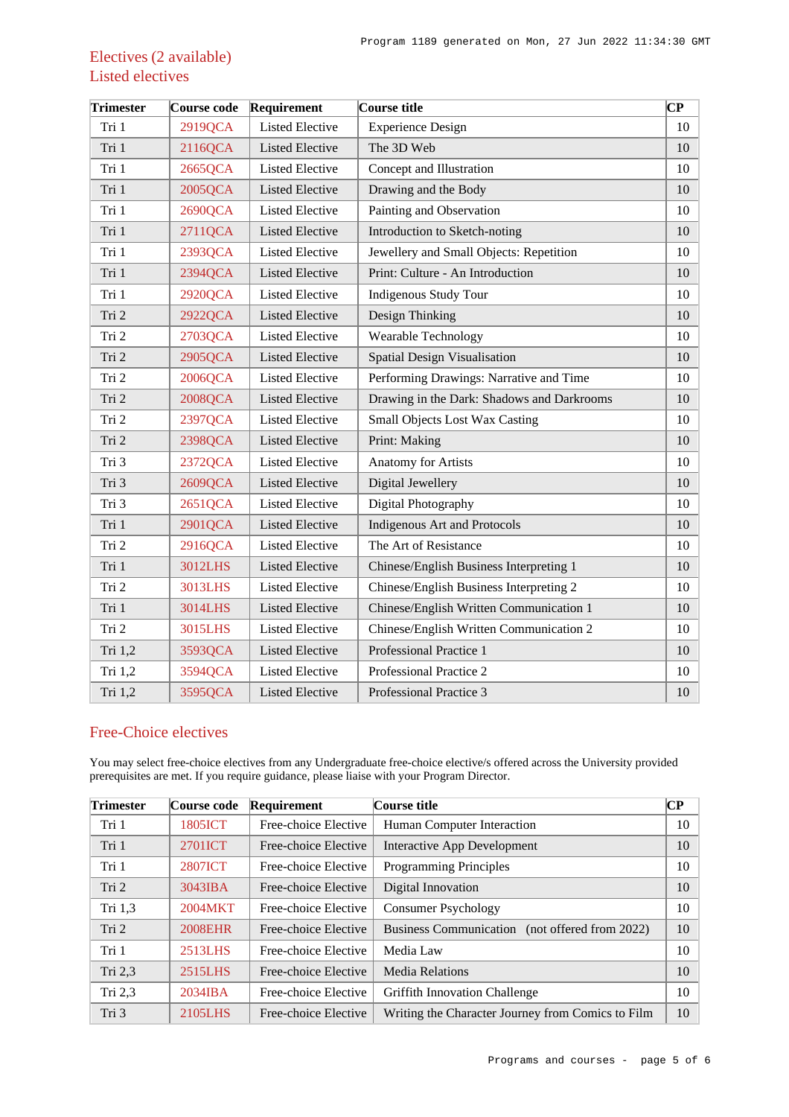# Electives (2 available) Listed electives

| <b>Trimester</b> | Course code | Requirement            | Course title                               | $\overline{\mathbf{C}\mathbf{P}}$ |
|------------------|-------------|------------------------|--------------------------------------------|-----------------------------------|
| Tri 1            | 2919QCA     | <b>Listed Elective</b> | <b>Experience Design</b>                   | 10                                |
| Tri 1            | 2116QCA     | <b>Listed Elective</b> | The 3D Web                                 | 10                                |
| Tri 1            | 2665QCA     | <b>Listed Elective</b> | Concept and Illustration                   | 10                                |
| Tri 1            | 2005QCA     | <b>Listed Elective</b> | Drawing and the Body                       | 10                                |
| Tri 1            | 2690QCA     | <b>Listed Elective</b> | Painting and Observation                   | 10                                |
| Tri 1            | 2711QCA     | <b>Listed Elective</b> | Introduction to Sketch-noting              | 10                                |
| Tri 1            | 2393QCA     | <b>Listed Elective</b> | Jewellery and Small Objects: Repetition    | 10                                |
| Tri 1            | 2394QCA     | <b>Listed Elective</b> | Print: Culture - An Introduction           | 10                                |
| Tri 1            | 2920QCA     | <b>Listed Elective</b> | <b>Indigenous Study Tour</b>               | 10                                |
| Tri 2            | 2922QCA     | <b>Listed Elective</b> | Design Thinking                            | 10                                |
| Tri 2            | 2703QCA     | <b>Listed Elective</b> | Wearable Technology                        | 10                                |
| Tri 2            | 2905QCA     | <b>Listed Elective</b> | <b>Spatial Design Visualisation</b>        | 10                                |
| Tri 2            | 2006QCA     | <b>Listed Elective</b> | Performing Drawings: Narrative and Time    | 10                                |
| Tri 2            | 2008QCA     | <b>Listed Elective</b> | Drawing in the Dark: Shadows and Darkrooms | 10                                |
| Tri 2            | 2397QCA     | <b>Listed Elective</b> | <b>Small Objects Lost Wax Casting</b>      | 10                                |
| Tri 2            | 2398QCA     | <b>Listed Elective</b> | Print: Making                              | 10                                |
| Tri 3            | 2372QCA     | <b>Listed Elective</b> | <b>Anatomy for Artists</b>                 | 10                                |
| Tri 3            | 2609QCA     | <b>Listed Elective</b> | Digital Jewellery                          | 10                                |
| Tri 3            | 2651QCA     | <b>Listed Elective</b> | Digital Photography                        | 10                                |
| Tri 1            | 2901QCA     | <b>Listed Elective</b> | <b>Indigenous Art and Protocols</b>        | 10                                |
| Tri 2            | 2916QCA     | <b>Listed Elective</b> | The Art of Resistance                      | 10                                |
| Tri 1            | 3012LHS     | <b>Listed Elective</b> | Chinese/English Business Interpreting 1    | 10                                |
| Tri 2            | 3013LHS     | <b>Listed Elective</b> | Chinese/English Business Interpreting 2    | 10                                |
| Tri 1            | 3014LHS     | <b>Listed Elective</b> | Chinese/English Written Communication 1    | 10                                |
| Tri 2            | 3015LHS     | <b>Listed Elective</b> | Chinese/English Written Communication 2    | 10                                |
| Tri 1,2          | 3593QCA     | <b>Listed Elective</b> | Professional Practice 1                    | 10                                |
| Tri 1,2          | 3594QCA     | <b>Listed Elective</b> | Professional Practice 2                    | 10                                |
| Tri 1,2          | 3595QCA     | <b>Listed Elective</b> | Professional Practice 3                    | 10                                |

# Free-Choice electives

You may select free-choice electives from any Undergraduate free-choice elective/s offered across the University provided prerequisites are met. If you require guidance, please liaise with your Program Director.

| <b>Trimester</b> | Course code    | Requirement          | Course title                                      | $\overline{\mathbf{CP}}$ |
|------------------|----------------|----------------------|---------------------------------------------------|--------------------------|
| Tri 1            | 1805ICT        | Free-choice Elective | Human Computer Interaction                        | 10                       |
| Tri 1            | 2701ICT        | Free-choice Elective | Interactive App Development                       | 10                       |
| Tri 1            | <b>2807ICT</b> | Free-choice Elective | Programming Principles                            | 10                       |
| Tri 2            | 3043IBA        | Free-choice Elective | Digital Innovation                                | 10                       |
| Tri 1,3          | 2004MKT        | Free-choice Elective | Consumer Psychology                               | 10                       |
| Tri 2            | <b>2008EHR</b> | Free-choice Elective | Business Communication (not offered from 2022)    | 10                       |
| Tri 1            | 2513LHS        | Free-choice Elective | Media Law                                         | 10                       |
| Tri $2,3$        | 2515LHS        | Free-choice Elective | <b>Media Relations</b>                            | 10                       |
| Tri $2,3$        | $2034$ IBA     | Free-choice Elective | <b>Griffith Innovation Challenge</b>              | 10                       |
| Tri 3            | 2105LHS        | Free-choice Elective | Writing the Character Journey from Comics to Film | 10                       |